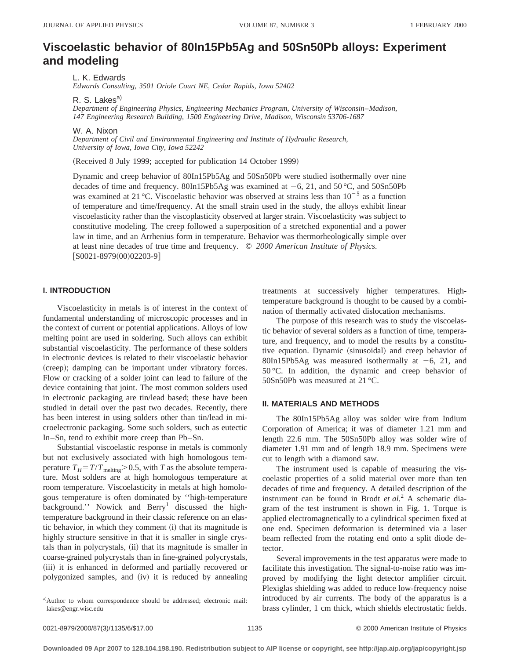# **Viscoelastic behavior of 80In15Pb5Ag and 50Sn50Pb alloys: Experiment and modeling**

L. K. Edwards

*Edwards Consulting, 3501 Oriole Court NE, Cedar Rapids, Iowa 52402*

R. S. Lakes<sup>a)</sup>

*Department of Engineering Physics, Engineering Mechanics Program, University of Wisconsin*–*Madison, 147 Engineering Research Building, 1500 Engineering Drive, Madison, Wisconsin 53706-1687*

W. A. Nixon

*Department of Civil and Environmental Engineering and Institute of Hydraulic Research, University of Iowa, Iowa City, Iowa 52242*

(Received 8 July 1999; accepted for publication 14 October 1999)

Dynamic and creep behavior of 80In15Pb5Ag and 50Sn50Pb were studied isothermally over nine decades of time and frequency. 80In15Pb5Ag was examined at  $-6$ , 21, and 50 °C, and 50Sn50Pb was examined at 21 °C. Viscoelastic behavior was observed at strains less than  $10^{-5}$  as a function of temperature and time/frequency. At the small strain used in the study, the alloys exhibit linear viscoelasticity rather than the viscoplasticity observed at larger strain. Viscoelasticity was subject to constitutive modeling. The creep followed a superposition of a stretched exponential and a power law in time, and an Arrhenius form in temperature. Behavior was thermorheologically simple over at least nine decades of true time and frequency. © *2000 American Institute of Physics.*  $[SO021-8979(00)02203-9]$ 

#### **I. INTRODUCTION**

Viscoelasticity in metals is of interest in the context of fundamental understanding of microscopic processes and in the context of current or potential applications. Alloys of low melting point are used in soldering. Such alloys can exhibit substantial viscoelasticity. The performance of these solders in electronic devices is related to their viscoelastic behavior (creep); damping can be important under vibratory forces. Flow or cracking of a solder joint can lead to failure of the device containing that joint. The most common solders used in electronic packaging are tin/lead based; these have been studied in detail over the past two decades. Recently, there has been interest in using solders other than tin/lead in microelectronic packaging. Some such solders, such as eutectic In–Sn, tend to exhibit more creep than Pb–Sn.

Substantial viscoelastic response in metals is commonly but not exclusively associated with high homologous temperature  $T_H = T/T_{\text{melting}} > 0.5$ , with *T* as the absolute temperature. Most solders are at high homologous temperature at room temperature. Viscoelasticity in metals at high homologous temperature is often dominated by ''high-temperature background.'' Nowick and  $\text{Berry}^1$  discussed the hightemperature background in their classic reference on an elastic behavior, in which they comment (i) that its magnitude is highly structure sensitive in that it is smaller in single crystals than in polycrystals, (ii) that its magnitude is smaller in coarse-grained polycrystals than in fine-grained polycrystals, (iii) it is enhanced in deformed and partially recovered or polygonized samples, and (iv) it is reduced by annealing treatments at successively higher temperatures. Hightemperature background is thought to be caused by a combination of thermally activated dislocation mechanisms.

The purpose of this research was to study the viscoelastic behavior of several solders as a function of time, temperature, and frequency, and to model the results by a constitutive equation. Dynamic (sinusoidal) and creep behavior of 80In15Pb5Ag was measured isothermally at  $-6$ , 21, and 50 °C. In addition, the dynamic and creep behavior of 50Sn50Pb was measured at 21 °C.

#### **II. MATERIALS AND METHODS**

The 80In15Pb5Ag alloy was solder wire from Indium Corporation of America; it was of diameter 1.21 mm and length 22.6 mm. The 50Sn50Pb alloy was solder wire of diameter 1.91 mm and of length 18.9 mm. Specimens were cut to length with a diamond saw.

The instrument used is capable of measuring the viscoelastic properties of a solid material over more than ten decades of time and frequency. A detailed description of the instrument can be found in Brodt *et al.*<sup>2</sup> A schematic diagram of the test instrument is shown in Fig. 1. Torque is applied electromagnetically to a cylindrical specimen fixed at one end. Specimen deformation is determined via a laser beam reflected from the rotating end onto a split diode detector.

Several improvements in the test apparatus were made to facilitate this investigation. The signal-to-noise ratio was improved by modifying the light detector amplifier circuit. Plexiglas shielding was added to reduce low-frequency noise introduced by air currents. The body of the apparatus is a brass cylinder, 1 cm thick, which shields electrostatic fields.

a)Author to whom correspondence should be addressed; electronic mail: lakes@engr.wisc.edu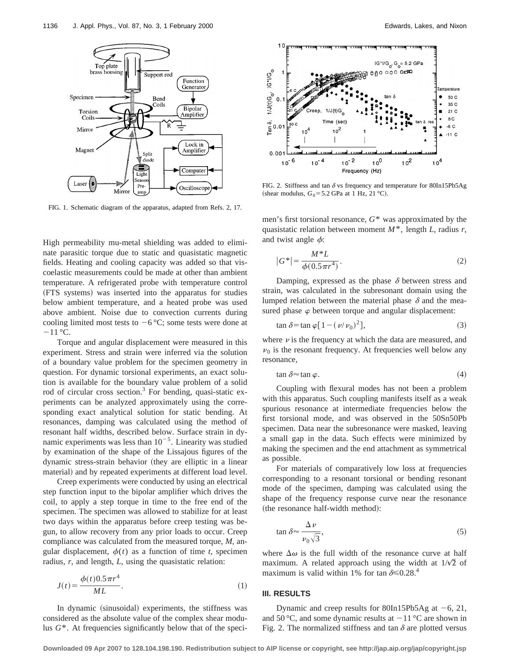

FIG. 1. Schematic diagram of the apparatus, adapted from Refs. 2, 17.

High permeability mu-metal shielding was added to eliminate parasitic torque due to static and quasistatic magnetic fields. Heating and cooling capacity was added so that viscoelastic measurements could be made at other than ambient temperature. A refrigerated probe with temperature control (FTS systems) was inserted into the apparatus for studies below ambient temperature, and a heated probe was used above ambient. Noise due to convection currents during cooling limited most tests to  $-6$  °C; some tests were done at  $-11$  °C.

Torque and angular displacement were measured in this experiment. Stress and strain were inferred via the solution of a boundary value problem for the specimen geometry in question. For dynamic torsional experiments, an exact solution is available for the boundary value problem of a solid rod of circular cross section.<sup>3</sup> For bending, quasi-static experiments can be analyzed approximately using the corresponding exact analytical solution for static bending. At resonances, damping was calculated using the method of resonant half widths, described below. Surface strain in dynamic experiments was less than  $10^{-5}$ . Linearity was studied by examination of the shape of the Lissajous figures of the dynamic stress-strain behavior (they are elliptic in a linear material) and by repeated experiments at different load level.

Creep experiments were conducted by using an electrical step function input to the bipolar amplifier which drives the coil, to apply a step torque in time to the free end of the specimen. The specimen was allowed to stabilize for at least two days within the apparatus before creep testing was begun, to allow recovery from any prior loads to occur. Creep compliance was calculated from the measured torque, *M*, angular displacement,  $\phi(t)$  as a function of time *t*, specimen radius, *r*, and length, *L*, using the quasistatic relation:

$$
J(t) = \frac{\phi(t) 0.5 \pi r^4}{ML}.
$$
 (1)

In dynamic (sinusoidal) experiments, the stiffness was considered as the absolute value of the complex shear modulus  $G^*$ . At frequencies significantly below that of the speci-



FIG. 2. Stiffness and tan  $\delta$  vs frequency and temperature for 80In15Pb5Ag (shear modulus,  $G_0$ =5.2 GPa at 1 Hz, 21 °C).

men's first torsional resonance, *G*\* was approximated by the quasistatic relation between moment *M*\*, length *L*, radius *r*, and twist angle  $\phi$ :

$$
|G^*| = \frac{M^* L}{\phi(0.5 \pi r^4)}.
$$
 (2)

Damping, expressed as the phase  $\delta$  between stress and strain, was calculated in the subresonant domain using the lumped relation between the material phase  $\delta$  and the measured phase  $\varphi$  between torque and angular displacement:

$$
\tan \delta = \tan \varphi [1 - (\nu/\nu_0)^2],\tag{3}
$$

where  $\nu$  is the frequency at which the data are measured, and  $v_0$  is the resonant frequency. At frequencies well below any resonance,

$$
\tan \delta \approx \tan \varphi. \tag{4}
$$

Coupling with flexural modes has not been a problem with this apparatus. Such coupling manifests itself as a weak spurious resonance at intermediate frequencies below the first torsional mode, and was observed in the 50Sn50Pb specimen. Data near the subresonance were masked, leaving a small gap in the data. Such effects were minimized by making the specimen and the end attachment as symmetrical as possible.

For materials of comparatively low loss at frequencies corresponding to a resonant torsional or bending resonant mode of the specimen, damping was calculated using the shape of the frequency response curve near the resonance (the resonance half-width method):

$$
\tan \delta \approx \frac{\Delta \nu}{\nu_0 \sqrt{3}},\tag{5}
$$

where  $\Delta\omega$  is the full width of the resonance curve at half maximum. A related approach using the width at  $1/\sqrt{2}$  of maximum is valid within 1% for tan  $\delta \le 0.28$ .<sup>4</sup>

#### **III. RESULTS**

Dynamic and creep results for 80In15Pb5Ag at  $-6$ , 21, and 50 °C, and some dynamic results at  $-11$  °C are shown in Fig. 2. The normalized stiffness and tan  $\delta$  are plotted versus

**Downloaded 09 Apr 2007 to 128.104.198.190. Redistribution subject to AIP license or copyright, see http://jap.aip.org/jap/copyright.jsp**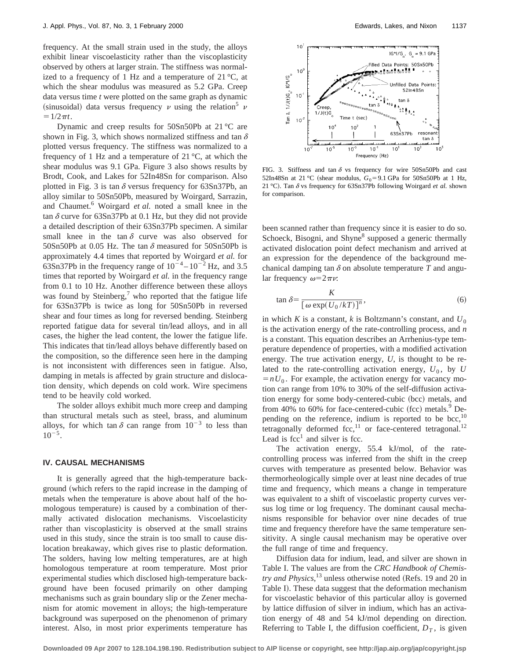frequency. At the small strain used in the study, the alloys exhibit linear viscoelasticity rather than the viscoplasticity observed by others at larger strain. The stiffness was normalized to a frequency of 1 Hz and a temperature of  $21^{\circ}$ C, at which the shear modulus was measured as 5.2 GPa. Creep data versus time *t* were plotted on the same graph as dynamic (sinusoidal) data versus frequency  $\nu$  using the relation<sup>5</sup>  $\nu$  $=1/2\pi t$ .

Dynamic and creep results for 50Sn50Pb at 21 °C are shown in Fig. 3, which shows normalized stiffness and tan  $\delta$ plotted versus frequency. The stiffness was normalized to a frequency of 1 Hz and a temperature of  $21^{\circ}$ C, at which the shear modulus was 9.1 GPa. Figure 3 also shows results by Brodt, Cook, and Lakes for 52In48Sn for comparison. Also plotted in Fig. 3 is tan  $\delta$  versus frequency for 63Sn37Pb, an alloy similar to 50Sn50Pb, measured by Woirgard, Sarrazin, and Chaumet.<sup>6</sup> Woirgard *et al.* noted a small knee in the tan  $\delta$  curve for 63Sn37Pb at 0.1 Hz, but they did not provide a detailed description of their 63Sn37Pb specimen. A similar small knee in the tan  $\delta$  curve was also observed for 50Sn50Pb at 0.05 Hz. The tan  $\delta$  measured for 50Sn50Pb is approximately 4.4 times that reported by Woirgard *et al.* for 63Sn37Pb in the frequency range of  $10^{-4} - 10^{-2}$  Hz, and 3.5 times that reported by Woirgard *et al.* in the frequency range from 0.1 to 10 Hz. Another difference between these alloys was found by Steinberg, $\prime$  who reported that the fatigue life for 63Sn37Pb is twice as long for 50Sn50Pb in reversed shear and four times as long for reversed bending. Steinberg reported fatigue data for several tin/lead alloys, and in all cases, the higher the lead content, the lower the fatigue life. This indicates that tin/lead alloys behave differently based on the composition, so the difference seen here in the damping is not inconsistent with differences seen in fatigue. Also, damping in metals is affected by grain structure and dislocation density, which depends on cold work. Wire specimens tend to be heavily cold worked.

The solder alloys exhibit much more creep and damping than structural metals such as steel, brass, and aluminum alloys, for which tan  $\delta$  can range from  $10^{-3}$  to less than  $10^{-5}$ .

#### **IV. CAUSAL MECHANISMS**

It is generally agreed that the high-temperature background (which refers to the rapid increase in the damping of metals when the temperature is above about half of the homologous temperature) is caused by a combination of thermally activated dislocation mechanisms. Viscoelasticity rather than viscoplasticity is observed at the small strains used in this study, since the strain is too small to cause dislocation breakaway, which gives rise to plastic deformation. The solders, having low melting temperatures, are at high homologous temperature at room temperature. Most prior experimental studies which disclosed high-temperature background have been focused primarily on other damping mechanisms such as grain boundary slip or the Zener mechanism for atomic movement in alloys; the high-temperature background was superposed on the phenomenon of primary interest. Also, in most prior experiments temperature has



FIG. 3. Stiffness and tan  $\delta$  vs frequency for wire 50Sn50Pb and cast 52In48Sn at 21 °C (shear modulus,  $G_0 = 9.1$  GPa for 50Sn50Pb at 1 Hz, 21 °C). Tan  $\delta$  vs frequency for 63Sn37Pb following Woirgard *et al.* shown for comparison.

been scanned rather than frequency since it is easier to do so. Schoeck, Bisogni, and Shyne<sup>8</sup> supposed a generic thermally activated dislocation point defect mechanism and arrived at an expression for the dependence of the background mechanical damping tan  $\delta$  on absolute temperature *T* and angular frequency  $\omega=2\pi\nu$ :

$$
\tan \delta = \frac{K}{\left[\omega \exp(U_0/kT)\right]^n},\tag{6}
$$

in which *K* is a constant, *k* is Boltzmann's constant, and  $U_0$ is the activation energy of the rate-controlling process, and *n* is a constant. This equation describes an Arrhenius-type temperature dependence of properties, with a modified activation energy. The true activation energy, *U*, is thought to be related to the rate-controlling activation energy,  $U_0$ , by  $U$  $= nU_0$ . For example, the activation energy for vacancy motion can range from 10% to 30% of the self-diffusion activation energy for some body-centered-cubic (bcc) metals, and from 40% to 60% for face-centered-cubic  $~(fcc)$  metals.<sup>9</sup> Depending on the reference, indium is reported to be bcc, $^{10}$ tetragonally deformed fcc,<sup>11</sup> or face-centered tetragonal.<sup>12</sup> Lead is  $fcc<sup>1</sup>$  and silver is fcc.

The activation energy, 55.4 kJ/mol, of the ratecontrolling process was inferred from the shift in the creep curves with temperature as presented below. Behavior was thermorheologically simple over at least nine decades of true time and frequency, which means a change in temperature was equivalent to a shift of viscoelastic property curves versus log time or log frequency. The dominant causal mechanisms responsible for behavior over nine decades of true time and frequency therefore have the same temperature sensitivity. A single causal mechanism may be operative over the full range of time and frequency.

Diffusion data for indium, lead, and silver are shown in Table I. The values are from the *CRC Handbook of Chemistry and Physics*,<sup>13</sup> unless otherwise noted (Refs. 19 and 20 in Table I). These data suggest that the deformation mechanism for viscoelastic behavior of this particular alloy is governed by lattice diffusion of silver in indium, which has an activation energy of 48 and 54 kJ/mol depending on direction. Referring to Table I, the diffusion coefficient,  $D_T$ , is given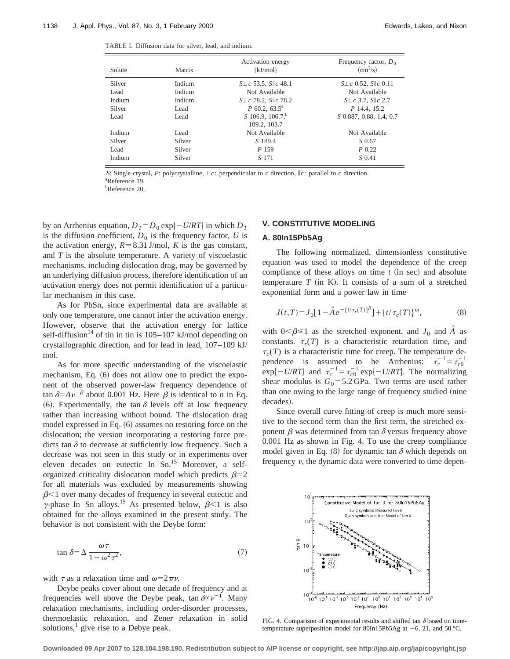| Solute | Matrix | Activation energy<br>(kJ/mol)          | Frequency factor, $D_0$<br>$\rm (cm^2/s)$ |
|--------|--------|----------------------------------------|-------------------------------------------|
| Silver | Indium | $S \perp c$ 53.5, $S \parallel c$ 48.1 | $S \perp c$ 0.52, $S \parallel c$ 0.11    |
| Lead   | Indium | Not Available                          | Not Available                             |
| Indium | Indium | $S \perp c$ 78.2, $S \parallel c$ 78.2 | $S \perp c$ 3.7, $S \parallel c$ 2.7      |
| Silver | Lead   | $P$ 60.2, 63.5 <sup>a</sup>            | P 14.4, 15.2                              |
| Lead   | Lead   | S 106.9, 106.7, <sup>b</sup>           | S 0.887, 0.88, 1.4, 0.7                   |
|        |        | 109.2, 103.7                           |                                           |
| Indium | Lead   | Not Available                          | Not Available                             |
| Silver | Silver | S 189.4                                | S 0.67                                    |
| Lead   | Silver | P 159                                  | $P_{0.22}$                                |
| Indium | Silver | S 171                                  | S 0.41                                    |

*S*: Single crystal, *P*: polycrystalline,  $\bot c$ : perpendicular to *c* direction,  $\Vert c$ : parallel to *c* direction.

a Reference 19. b Reference 20.

by an Arrhenius equation,  $D_T = D_0 \exp\{-U/RT\}$  in which  $D_T$ is the diffusion coefficient,  $D_0$  is the frequency factor,  $U$  is the activation energy,  $R = 8.31$  J/mol, *K* is the gas constant, and *T* is the absolute temperature. A variety of viscoelastic mechanisms, including dislocation drag, may be governed by an underlying diffusion process, therefore identification of an activation energy does not permit identification of a particular mechanism in this case.

As for PbSn, since experimental data are available at only one temperature, one cannot infer the activation energy. However, observe that the activation energy for lattice self-diffusion<sup>14</sup> of tin in tin is  $105-107$  kJ/mol depending on crystallographic direction, and for lead in lead, 107–109 kJ/ mol.

As for more specific understanding of the viscoelastic mechanism, Eq.  $(6)$  does not allow one to predict the exponent of the observed power-law frequency dependence of tan  $\delta = A \nu^{-\beta}$  about 0.001 Hz. Here  $\beta$  is identical to *n* in Eq. (6). Experimentally, the tan  $\delta$  levels off at low frequency rather than increasing without bound. The dislocation drag model expressed in Eq. (6) assumes no restoring force on the dislocation; the version incorporating a restoring force predicts tan  $\delta$  to decrease at sufficiently low frequency. Such a decrease was not seen in this study or in experiments over eleven decades on eutectic  $In-Sn<sup>15</sup>$  Moreover, a selforganized criticality dislocation model which predicts  $\beta=2$ for all materials was excluded by measurements showing  $\beta$ <1 over many decades of frequency in several eutectic and  $\gamma$ -phase In–Sn alloys.<sup>15</sup> As presented below,  $\beta$ <1 is also obtained for the alloys examined in the present study. The behavior is not consistent with the Deybe form:

$$
\tan \delta = \Delta \frac{\omega \tau}{1 + \omega^2 \tau^2},\tag{7}
$$

with  $\tau$  as a relaxation time and  $\omega=2\pi\nu$ .

Deybe peaks cover about one decade of frequency and at frequencies well above the Deybe peak, tan  $\delta \propto \nu^{-1}$ . Many relaxation mechanisms, including order-disorder processes, thermoelastic relaxation, and Zener relaxation in solid solutions, $\frac{1}{1}$  give rise to a Debye peak.

## **V. CONSTITUTIVE MODELING**

#### **A. 80In15Pb5Ag**

The following normalized, dimensionless constitutive equation was used to model the dependence of the creep compliance of these alloys on time *t* (in sec) and absolute temperature  $T$  (in K). It consists of a sum of a stretched exponential form and a power law in time

$$
J(t,T) = J_0[1 - \hat{A}e^{-[t/\tau_r(T)]^{\beta}}] + \{t/\tau_c(T)\}^m,
$$
\n(8)

with  $0<\beta \leq 1$  as the stretched exponent, and  $J_0$  and  $\hat{A}$  as constants.  $\tau_r(T)$  is a characteristic retardation time, and  $\tau_c(T)$  is a characteristic time for creep. The temperature dependence is assumed to be Arrhenius:  $\tau_r^{-1} = \tau_{r0}^{-1}$  $\exp\{-U/RT\}$  and  $\tau_c^{-1} = \tau_{c0}^{-1} \exp\{-U/RT\}$ . The normalizing shear modulus is  $G_0 = 5.2$  GPa. Two terms are used rather than one owing to the large range of frequency studied (nine decades).

Since overall curve fitting of creep is much more sensitive to the second term than the first term, the stretched exponent  $\beta$  was determined from tan  $\delta$  versus frequency above 0.001 Hz as shown in Fig. 4. To use the creep compliance model given in Eq.  $(8)$  for dynamic tan  $\delta$  which depends on frequency  $\nu$ , the dynamic data were converted to time depen-



FIG. 4. Comparison of experimental results and shifted tan  $\delta$  based on timetemperature superposition model for 80In15Pb5Ag at  $-6$ , 21, and 50 °C.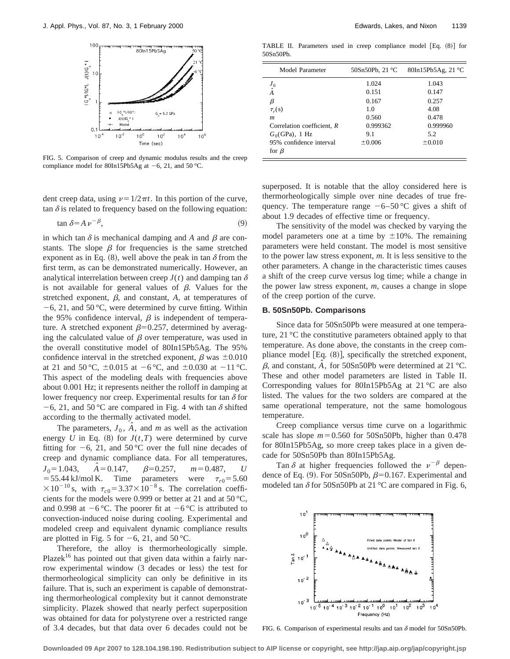

FIG. 5. Comparison of creep and dynamic modulus results and the creep compliance model for 80In15Pb5Ag at  $-6$ , 21, and 50 °C.

dent creep data, using  $\nu=1/2\pi t$ . In this portion of the curve, tan  $\delta$  is related to frequency based on the following equation:

$$
\tan \delta = A \, \nu^{-\beta},\tag{9}
$$

in which tan  $\delta$  is mechanical damping and A and  $\beta$  are constants. The slope  $\beta$  for frequencies is the same stretched exponent as in Eq. (8), well above the peak in tan  $\delta$  from the first term, as can be demonstrated numerically. However, an analytical interrelation between creep  $J(t)$  and damping tan  $\delta$ is not available for general values of  $\beta$ . Values for the stretched exponent,  $\beta$ , and constant,  $A$ , at temperatures of  $-6$ , 21, and 50 °C, were determined by curve fitting. Within the 95% confidence interval,  $\beta$  is independent of temperature. A stretched exponent  $\beta$ =0.257, determined by averaging the calculated value of  $\beta$  over temperature, was used in the overall constitutive model of 80In15Pb5Ag. The 95% confidence interval in the stretched exponent,  $\beta$  was  $\pm 0.010$ at 21 and 50 °C,  $\pm 0.015$  at  $-6$  °C, and  $\pm 0.030$  at  $-11$  °C. This aspect of the modeling deals with frequencies above about 0.001 Hz; it represents neither the rolloff in damping at lower frequency nor creep. Experimental results for tan  $\delta$  for -6, 21, and 50 °C are compared in Fig. 4 with tan  $\delta$  shifted according to the thermally activated model.

The parameters,  $J_0$ ,  $\hat{A}$ , and *m* as well as the activation energy *U* in Eq. (8) for  $J(t,T)$  were determined by curve fitting for  $-6$ , 21, and 50 °C over the full nine decades of creep and dynamic compliance data. For all temperatures,  $J_0$ = 1.043,  $\hat{A}$  = 0.147,<br>= 55.44 kJ/mol K. Time  $\beta = 0.257$ ,  $m = 0.487$ , *U* Time parameters were  $\tau_{r0}$ =5.60  $\times 10^{-10}$  s, with  $\tau_{c0} = 3.37 \times 10^{-8}$  s. The correlation coefficients for the models were 0.999 or better at 21 and at 50 °C, and 0.998 at  $-6$  °C. The poorer fit at  $-6$  °C is attributed to convection-induced noise during cooling. Experimental and modeled creep and equivalent dynamic compliance results are plotted in Fig. 5 for  $-6$ , 21, and 50 °C.

Therefore, the alloy is thermorheologically simple. Plazek<sup>16</sup> has pointed out that given data within a fairly narrow experimental window (3 decades or less) the test for thermorheological simplicity can only be definitive in its failure. That is, such an experiment is capable of demonstrating thermorheological complexity but it cannot demonstrate simplicity. Plazek showed that nearly perfect superposition was obtained for data for polystyrene over a restricted range of 3.4 decades, but that data over 6 decades could not be

TABLE II. Parameters used in creep compliance model  $[Eq. (8)]$  for 50Sn50Pb.

| Model Parameter            | 50Sn50Pb, $21^{\circ}$ C | 80In15Pb5Ag, 21 °C |
|----------------------------|--------------------------|--------------------|
|                            | 1.024                    | 1.043              |
| $\frac{J_0}{\hat{A}}$      | 0.151                    | 0.147              |
| β                          | 0.167                    | 0.257              |
| $\tau_r(s)$                | 1.0                      | 4.08               |
| m                          | 0.560                    | 0.478              |
| Correlation coefficient, R | 0.999362                 | 0.999960           |
| $G_0$ (GPa), 1 Hz          | 9.1                      | 5.2                |
| 95% confidence interval    | $\pm 0.006$              | $\pm 0.010$        |
| for $\beta$                |                          |                    |

superposed. It is notable that the alloy considered here is thermorheologically simple over nine decades of true frequency. The temperature range  $-6-50$  °C gives a shift of about 1.9 decades of effective time or frequency.

The sensitivity of the model was checked by varying the model parameters one at a time by  $\pm 10\%$ . The remaining parameters were held constant. The model is most sensitive to the power law stress exponent, *m*. It is less sensitive to the other parameters. A change in the characteristic times causes a shift of the creep curve versus log time; while a change in the power law stress exponent, *m*, causes a change in slope of the creep portion of the curve.

# **B. 50Sn50Pb. Comparisons**

Since data for 50Sn50Pb were measured at one temperature, 21 °C the constitutive parameters obtained apply to that temperature. As done above, the constants in the creep compliance model  $[Eq. (8)]$ , specifically the stretched exponent,  $\beta$ , and constant,  $\hat{A}$ , for 50Sn50Pb were determined at 21 °C. These and other model parameters are listed in Table II. Corresponding values for 80In15Pb5Ag at 21 °C are also listed. The values for the two solders are compared at the same operational temperature, not the same homologous temperature.

Creep compliance versus time curve on a logarithmic scale has slope  $m=0.560$  for 50Sn50Pb, higher than 0.478 for 80In15Pb5Ag, so more creep takes place in a given decade for 50Sn50Pb than 80In15Pb5Ag.

Tan  $\delta$  at higher frequencies followed the  $v^{-\beta}$  dependence of Eq. (9). For 50Sn50Pb,  $\beta$ =0.167. Experimental and modeled tan  $\delta$  for 50Sn50Pb at 21 °C are compared in Fig. 6,



FIG. 6. Comparison of experimental results and tan  $\delta$  model for 50Sn50Pb.